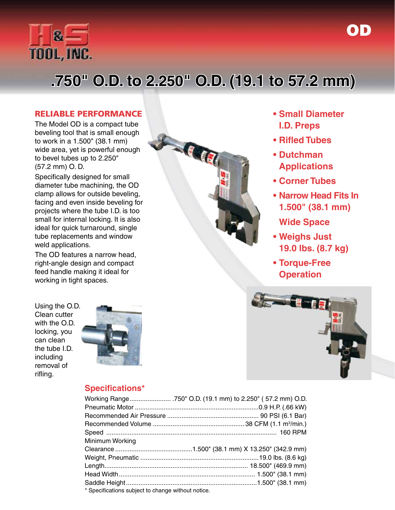

# **.750" O.D. to 2.250" O.D. (19.1 to 57.2 mm)**

#### RELIABLE PERFORMANCE

The Model OD is a compact tube beveling tool that is small enough to work in a 1.500" (38.1 mm) wide area, yet is powerful enough to bevel tubes up to 2.250" (57.2 mm) O. D.

Specifically designed for small diameter tube machining, the OD clamp allows for outside beveling, facing and even inside beveling for projects where the tube I.D. is too small for internal locking. It is also ideal for quick turnaround, single tube replacements and window weld applications.

The OD features a narrow head, right-angle design and compact feed handle making it ideal for working in tight spaces.



**• Small Diameter I.D. Preps**

OD

- **• Rifled Tubes**
- **• Dutchman Applications**
- **• Corner Tubes**
- **• Narrow Head Fits In 1.500" (38.1 mm)** 
	- **Wide Space**
- **• Weighs Just 19.0 lbs. (8.7 kg)**
- **• Torque-Free Operation**

Using the O.D. Clean cutter with the O.D. locking, you can clean the tube I.D. including removal of rifling.





#### **Specifications\***

| Minimum Working |  |
|-----------------|--|
|                 |  |
|                 |  |
|                 |  |
|                 |  |
|                 |  |
|                 |  |